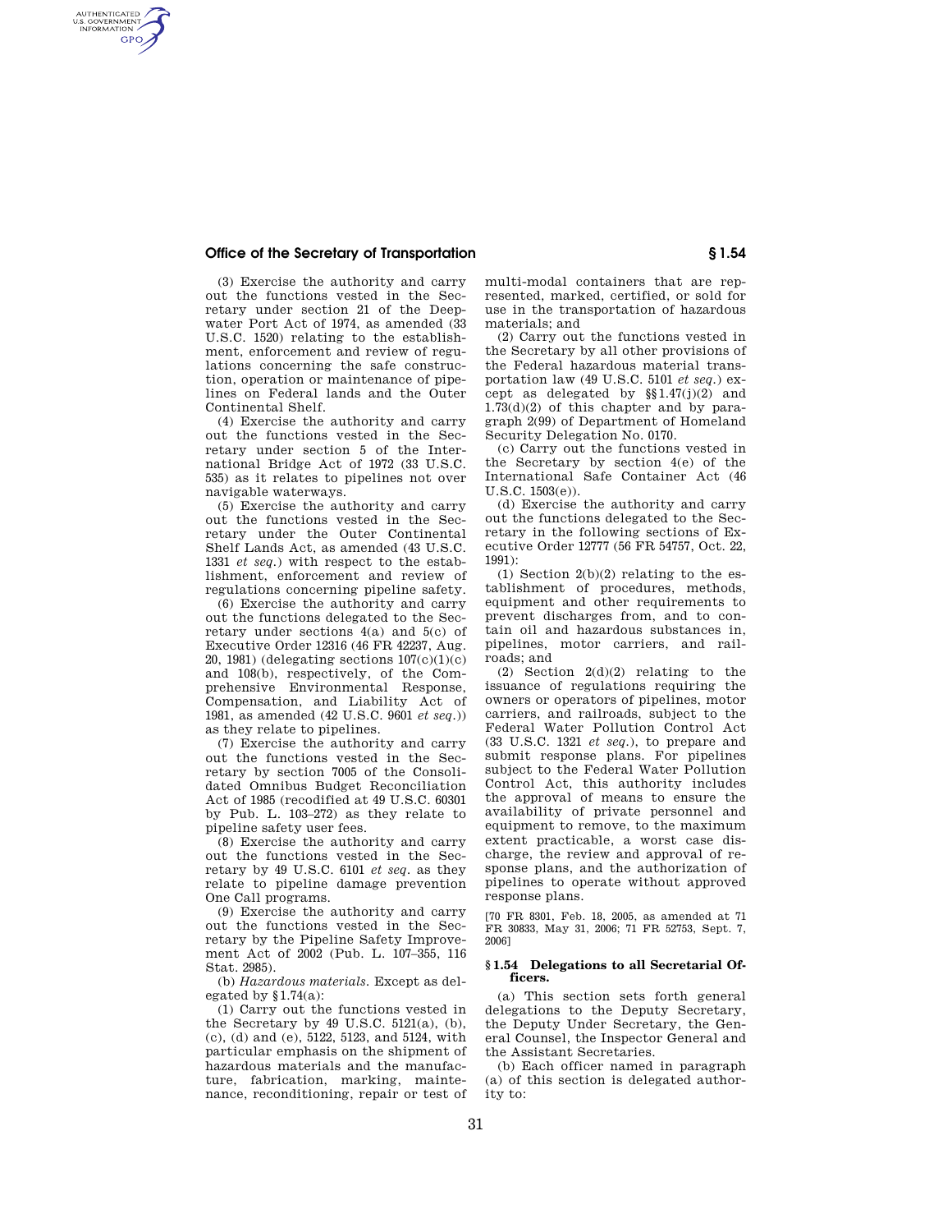## **Office of the Secretary of Transportation § 1.54**

AUTHENTICATED<br>U.S. GOVERNMENT<br>INFORMATION **GPO** 

> (3) Exercise the authority and carry out the functions vested in the Secretary under section 21 of the Deepwater Port Act of 1974, as amended (33 U.S.C. 1520) relating to the establishment, enforcement and review of regulations concerning the safe construction, operation or maintenance of pipelines on Federal lands and the Outer Continental Shelf.

> (4) Exercise the authority and carry out the functions vested in the Secretary under section 5 of the International Bridge Act of 1972 (33 U.S.C. 535) as it relates to pipelines not over navigable waterways.

> (5) Exercise the authority and carry out the functions vested in the Secretary under the Outer Continental Shelf Lands Act, as amended (43 U.S.C. 1331 *et seq.*) with respect to the establishment, enforcement and review of regulations concerning pipeline safety.

> (6) Exercise the authority and carry out the functions delegated to the Secretary under sections 4(a) and 5(c) of Executive Order 12316 (46 FR 42237, Aug. 20, 1981) (delegating sections 107(c)(1)(c) and 108(b), respectively, of the Comprehensive Environmental Response, Compensation, and Liability Act of 1981, as amended (42 U.S.C. 9601 *et seq.*)) as they relate to pipelines.

> (7) Exercise the authority and carry out the functions vested in the Secretary by section 7005 of the Consolidated Omnibus Budget Reconciliation Act of 1985 (recodified at 49 U.S.C. 60301 by Pub. L. 103–272) as they relate to pipeline safety user fees.

> (8) Exercise the authority and carry out the functions vested in the Secretary by 49 U.S.C. 6101 *et seq.* as they relate to pipeline damage prevention One Call programs.

> (9) Exercise the authority and carry out the functions vested in the Secretary by the Pipeline Safety Improvement Act of 2002 (Pub. L. 107–355, 116 Stat. 2985).

> (b) *Hazardous materials.* Except as delegated by  $$1.74(a)$ :

> (1) Carry out the functions vested in the Secretary by  $49$  U.S.C.  $5121(a)$ , (b), (c), (d) and (e), 5122, 5123, and 5124, with particular emphasis on the shipment of hazardous materials and the manufacture, fabrication, marking, maintenance, reconditioning, repair or test of

multi-modal containers that are represented, marked, certified, or sold for use in the transportation of hazardous materials; and

(2) Carry out the functions vested in the Secretary by all other provisions of the Federal hazardous material transportation law (49 U.S.C. 5101 *et seq.*) except as delegated by §§1.47(j)(2) and 1.73(d)(2) of this chapter and by paragraph 2(99) of Department of Homeland Security Delegation No. 0170.

(c) Carry out the functions vested in the Secretary by section 4(e) of the International Safe Container Act (46 U.S.C. 1503(e)).

(d) Exercise the authority and carry out the functions delegated to the Secretary in the following sections of Executive Order 12777 (56 FR 54757, Oct. 22,  $1991$ 

(1) Section 2(b)(2) relating to the establishment of procedures, methods, equipment and other requirements to prevent discharges from, and to contain oil and hazardous substances in, pipelines, motor carriers, and railroads; and

(2) Section 2(d)(2) relating to the issuance of regulations requiring the owners or operators of pipelines, motor carriers, and railroads, subject to the Federal Water Pollution Control Act (33 U.S.C. 1321 *et seq.*), to prepare and submit response plans. For pipelines subject to the Federal Water Pollution Control Act, this authority includes the approval of means to ensure the availability of private personnel and equipment to remove, to the maximum extent practicable, a worst case discharge, the review and approval of response plans, and the authorization of pipelines to operate without approved response plans.

[70 FR 8301, Feb. 18, 2005, as amended at 71 FR 30833, May 31, 2006; 71 FR 52753, Sept. 7, 2006]

## **§ 1.54 Delegations to all Secretarial Officers.**

(a) This section sets forth general delegations to the Deputy Secretary, the Deputy Under Secretary, the General Counsel, the Inspector General and the Assistant Secretaries.

(b) Each officer named in paragraph (a) of this section is delegated authority to: